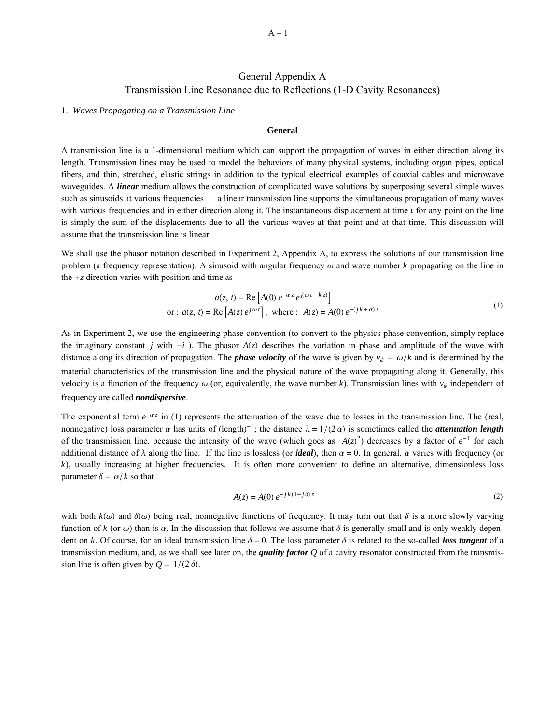# General Appendix A Transmission Line Resonance due to Reflections (1-D Cavity Resonances)

# 1. *Waves Propagating on a Transmission Line*

# **General**

A transmission line is a 1-dimensional medium which can support the propagation of waves in either direction along its length. Transmission lines may be used to model the behaviors of many physical systems, including organ pipes, optical fibers, and thin, stretched, elastic strings in addition to the typical electrical examples of coaxial cables and microwave waveguides. A *linear* medium allows the construction of complicated wave solutions by superposing several simple waves such as sinusoids at various frequencies — a linear transmission line supports the simultaneous propagation of many waves with various frequencies and in either direction along it. The instantaneous displacement at time *t* for any point on the line is simply the sum of the displacements due to all the various waves at that point and at that time. This discussion will assume that the transmission line is linear.

We shall use the phasor notation described in Experiment 2, Appendix A, to express the solutions of our transmission line problem (a frequency representation). A sinusoid with angular frequency  $\omega$  and wave number  $k$  propagating on the line in the  $+z$  direction varies with position and time as

$$
a(z, t) = \text{Re}\left[A(0) e^{-\alpha z} e^{j(\omega t - k z)}\right]
$$
  
or:  $a(z, t) = \text{Re}\left[A(z) e^{j\omega t}\right]$ , where :  $A(z) = A(0) e^{-(jk + \alpha)z}$  (1)

As in Experiment 2, we use the engineering phase convention (to convert to the physics phase convention, simply replace the imaginary constant *j* with  $-i$ ). The phasor  $A(z)$  describes the variation in phase and amplitude of the wave with distance along its direction of propagation. The **phase velocity** of the wave is given by  $v_{\phi} = \omega/k$  and is determined by the material characteristics of the transmission line and the physical nature of the wave propagating along it. Generally, this velocity is a function of the frequency  $\omega$  (or, equivalently, the wave number *k*). Transmission lines with  $v_{\phi}$  independent of frequency are called *nondispersive*.

The exponential term  $e^{-\alpha z}$  in (1) represents the attenuation of the wave due to losses in the transmission line. The (real, nonnegative) loss parameter  $\alpha$  has units of (length)<sup>-1</sup>; the distance  $\lambda = 1/(2 \alpha)$  is sometimes called the *attenuation length* of the transmission line, because the intensity of the wave (which goes as  $A(z)^2$ ) decreases by a factor of  $e^{-1}$  for each additional distance of  $\lambda$  along the line. If the line is lossless (or *ideal*), then  $\alpha = 0$ . In general,  $\alpha$  varies with frequency (or *k*), usually increasing at higher frequencies. It is often more convenient to define an alternative, dimensionless loss parameter  $\delta = \alpha/k$  so that

$$
A(z) = A(0) e^{-j k (1 - j \delta) z}
$$
 (2)

with both  $k(\omega)$  and  $\delta(\omega)$  being real, nonnegative functions of frequency. It may turn out that  $\delta$  is a more slowly varying function of *k* (or  $\omega$ ) than is  $\alpha$ . In the discussion that follows we assume that  $\delta$  is generally small and is only weakly dependent on k. Of course, for an ideal transmission line  $\delta = 0$ . The loss parameter  $\delta$  is related to the so-called *loss tangent* of a transmission medium, and, as we shall see later on, the *quality factor Q* of a cavity resonator constructed from the transmission line is often given by  $Q = 1/(2 \delta)$ .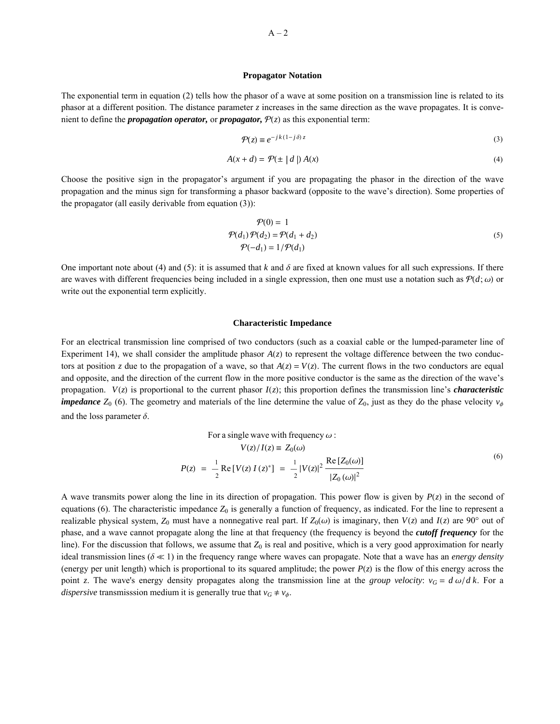#### **Propagator Notation**

The exponential term in equation (2) tells how the phasor of a wave at some position on a transmission line is related to its phasor at a different position. The distance parameter *z* increases in the same direction as the wave propagates. It is convenient to define the *propagation operator*, or *propagator*,  $P(z)$  as this exponential term:

$$
\mathcal{P}(z) \equiv e^{-jk(1-j\delta) z} \tag{3}
$$

$$
A(x+d) = \mathcal{P}(\pm |d|) A(x)
$$
 (4)

Choose the positive sign in the propagator's argument if you are propagating the phasor in the direction of the wave propagation and the minus sign for transforming a phasor backward (opposite to the wave's direction). Some properties of the propagator (all easily derivable from equation (3)):

$$
\mathcal{P}(0) = 1
$$
  
\n
$$
\mathcal{P}(d_1)\mathcal{P}(d_2) = \mathcal{P}(d_1 + d_2)
$$
  
\n
$$
\mathcal{P}(-d_1) = 1/\mathcal{P}(d_1)
$$
\n(5)

One important note about (4) and (5): it is assumed that *k* and  $\delta$  are fixed at known values for all such expressions. If there are waves with different frequencies being included in a single expression, then one must use a notation such as  $P(d; \omega)$  or write out the exponential term explicitly.

#### **Characteristic Impedance**

For an electrical transmission line comprised of two conductors (such as a coaxial cable or the lumped-parameter line of Experiment 14), we shall consider the amplitude phasor  $A(z)$  to represent the voltage difference between the two conductors at position *z* due to the propagation of a wave, so that  $A(z) = V(z)$ . The current flows in the two conductors are equal and opposite, and the direction of the current flow in the more positive conductor is the same as the direction of the wave's propagation.  $V(z)$  is proportional to the current phasor  $I(z)$ ; this proportion defines the transmission line's *characteristic impedance*  $Z_0$  (6). The geometry and materials of the line determine the value of  $Z_0$ , just as they do the phase velocity  $v_{\phi}$ and the loss parameter  $\delta$ .

For a single wave with frequency 
$$
\omega
$$
:  
\n
$$
V(z)/I(z) = Z_0(\omega)
$$
\n
$$
P(z) = -\frac{1}{2} \operatorname{Re}[V(z)I(z)^*] = -\frac{1}{2}|V(z)|^2 \frac{\operatorname{Re}[Z_0(\omega)]}{|Z_0(\omega)|^2}
$$
\n(6)

A wave transmits power along the line in its direction of propagation. This power flow is given by  $P(z)$  in the second of equations (6). The characteristic impedance  $Z_0$  is generally a function of frequency, as indicated. For the line to represent a realizable physical system,  $Z_0$  must have a nonnegative real part. If  $Z_0(\omega)$  is imaginary, then  $V(z)$  and  $I(z)$  are 90° out of phase, and a wave cannot propagate along the line at that frequency (the frequency is beyond the *cutoff frequency* for the line). For the discussion that follows, we assume that  $Z_0$  is real and positive, which is a very good approximation for nearly ideal transmission lines ( $\delta \ll 1$ ) in the frequency range where waves can propagate. Note that a wave has an *energy density* (energy per unit length) which is proportional to its squared amplitude; the power  $P(z)$  is the flow of this energy across the point *z*. The wave's energy density propagates along the transmission line at the *group velocity*:  $v_G = d\omega/dk$ . For a *dispersive* transmisssion medium it is generally true that  $v_G \neq v_{\phi}$ .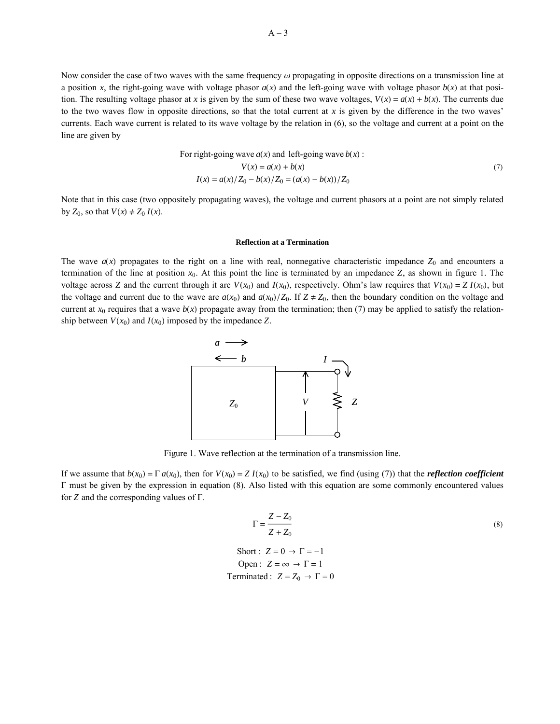Now consider the case of two waves with the same frequency  $\omega$  propagating in opposite directions on a transmission line at a position *x*, the right-going wave with voltage phasor  $a(x)$  and the left-going wave with voltage phasor  $b(x)$  at that position. The resulting voltage phasor at *x* is given by the sum of these two wave voltages,  $V(x) = a(x) + b(x)$ . The currents due to the two waves flow in opposite directions, so that the total current at *x* is given by the difference in the two waves' currents. Each wave current is related to its wave voltage by the relation in (6), so the voltage and current at a point on the line are given by

For right-going wave 
$$
a(x)
$$
 and left-going wave  $b(x)$ :  
\n
$$
V(x) = a(x) + b(x)
$$
\n
$$
I(x) = a(x)/Z_0 - b(x)/Z_0 = (a(x) - b(x))/Z_0
$$
\n(7)

Note that in this case (two oppositely propagating waves), the voltage and current phasors at a point are not simply related by  $Z_0$ , so that  $V(x) \neq Z_0 I(x)$ .

## **Reflection at a Termination**

The wave  $a(x)$  propagates to the right on a line with real, nonnegative characteristic impedance  $Z_0$  and encounters a termination of the line at position *x*0. At this point the line is terminated by an impedance *Z*, as shown in figure 1. The voltage across *Z* and the current through it are  $V(x_0)$  and  $I(x_0)$ , respectively. Ohm's law requires that  $V(x_0) = Z I(x_0)$ , but the voltage and current due to the wave are  $a(x_0)$  and  $a(x_0)/Z_0$ . If  $Z \neq Z_0$ , then the boundary condition on the voltage and current at  $x_0$  requires that a wave  $b(x)$  propagate away from the termination; then (7) may be applied to satisfy the relationship between  $V(x_0)$  and  $I(x_0)$  imposed by the impedance Z.



Figure 1. Wave reflection at the termination of a transmission line.

If we assume that  $b(x_0) = \Gamma a(x_0)$ , then for  $V(x_0) = Z I(x_0)$  to be satisfied, we find (using (7)) that the *reflection coefficient*  $\Gamma$  must be given by the expression in equation (8). Also listed with this equation are some commonly encountered values for  $Z$  and the corresponding values of  $\Gamma$ .

$$
\Gamma = \frac{Z - Z_0}{Z + Z_0}
$$
\n
$$
\Gamma = \frac{Z - Z_0}{Z + Z_0}
$$
\n
$$
\Gamma = -1
$$
\n(8)

Short: 
$$
Z = 0
$$
 →  $\Gamma = -1$   
Open:  $Z = \infty$  →  $\Gamma = 1$   
Terminated:  $Z = Z_0$  →  $\Gamma = 0$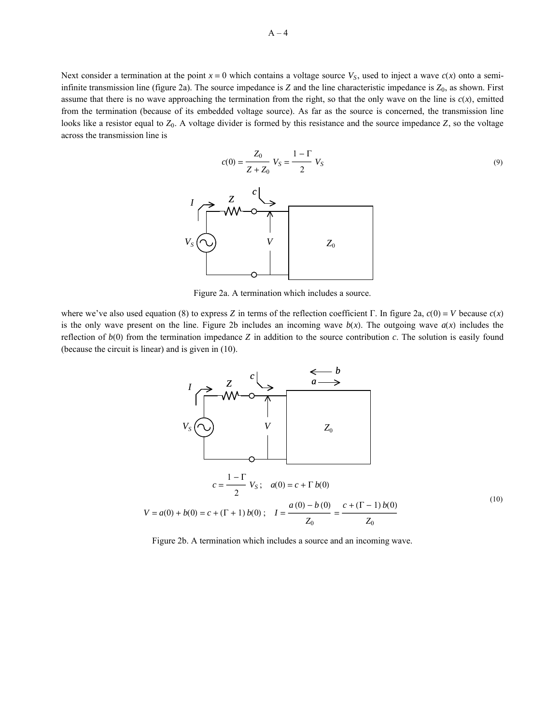Next consider a termination at the point  $x = 0$  which contains a voltage source  $V<sub>S</sub>$ , used to inject a wave  $c(x)$  onto a semiinfinite transmission line (figure 2a). The source impedance is  $Z$  and the line characteristic impedance is  $Z_0$ , as shown. First assume that there is no wave approaching the termination from the right, so that the only wave on the line is  $c(x)$ , emitted from the termination (because of its embedded voltage source). As far as the source is concerned, the transmission line looks like a resistor equal to *Z*0. A voltage divider is formed by this resistance and the source impedance *Z*, so the voltage across the transmission line is

$$
c(0) = \frac{Z_0}{Z + Z_0} V_S = \frac{1 - \Gamma}{2} V_S
$$
\n
$$
V_S \underbrace{\begin{array}{c} Z \\ \longrightarrow \\ \longrightarrow \\ \longrightarrow \\ \longrightarrow \end{array}} \qquad V_S
$$
\n
$$
V_S \underbrace{\begin{array}{c} \longrightarrow \\ \longrightarrow \\ \longrightarrow \\ \longrightarrow \\ \longrightarrow \end{array}} \qquad V_S
$$
\n
$$
Z_0
$$
\n(9)

Figure 2a. A termination which includes a source.

where we've also used equation (8) to express *Z* in terms of the reflection coefficient  $\Gamma$ . In figure 2a,  $c(0) = V$  because  $c(x)$ is the only wave present on the line. Figure 2b includes an incoming wave  $b(x)$ . The outgoing wave  $a(x)$  includes the reflection of  $b(0)$  from the termination impedance  $Z$  in addition to the source contribution  $c$ . The solution is easily found (because the circuit is linear) and is given in (10).



Figure 2b. A termination which includes a source and an incoming wave.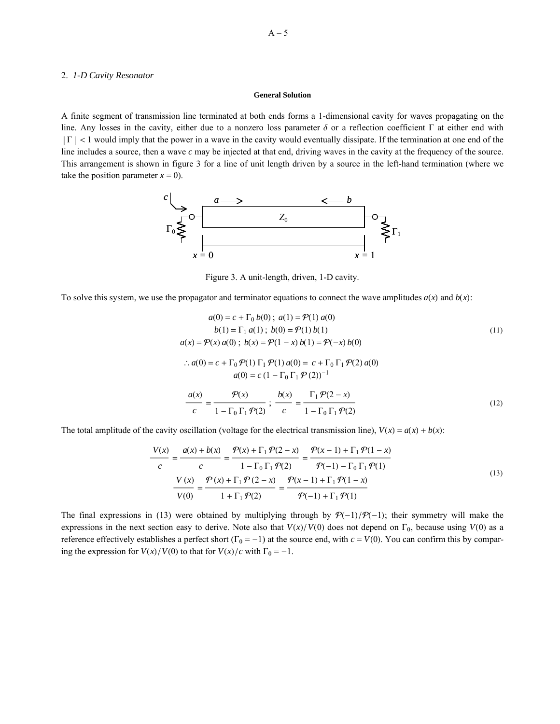# 2. *1-D Cavity Resonator*

### **General Solution**

A finite segment of transmission line terminated at both ends forms a 1-dimensional cavity for waves propagating on the line. Any losses in the cavity, either due to a nonzero loss parameter  $\delta$  or a reflection coefficient  $\Gamma$  at either end with  $|\Gamma|$  < 1 would imply that the power in a wave in the cavity would eventually dissipate. If the termination at one end of the line includes a source, then a wave *c* may be injected at that end, driving waves in the cavity at the frequency of the source. This arrangement is shown in figure 3 for a line of unit length driven by a source in the left-hand termination (where we take the position parameter  $x = 0$ ).



Figure 3. A unit-length, driven, 1-D cavity.

To solve this system, we use the propagator and terminator equations to connect the wave amplitudes  $a(x)$  and  $b(x)$ :

$$
a(0) = c + \Gamma_0 b(0); \ a(1) = \mathcal{P}(1) a(0)
$$
  
\n
$$
b(1) = \Gamma_1 a(1); \ b(0) = \mathcal{P}(1) b(1)
$$
  
\n
$$
a(x) = \mathcal{P}(x) a(0); \ b(x) = \mathcal{P}(1 - x) b(1) = \mathcal{P}(-x) b(0)
$$
  
\n
$$
\therefore a(0) = c + \Gamma_0 \mathcal{P}(1) \Gamma_1 \mathcal{P}(1) a(0) = c + \Gamma_0 \Gamma_1 \mathcal{P}(2) a(0)
$$
  
\n
$$
a(0) = c (1 - \Gamma_0 \Gamma_1 \mathcal{P}(2))^{-1}
$$
  
\n
$$
\frac{a(x)}{c} = \frac{\mathcal{P}(x)}{1 - \Gamma_0 \Gamma_1 \mathcal{P}(2)}; \ \frac{b(x)}{c} = \frac{\Gamma_1 \mathcal{P}(2 - x)}{1 - \Gamma_0 \Gamma_1 \mathcal{P}(2)}
$$
 (12)

The total amplitude of the cavity oscillation (voltage for the electrical transmission line),  $V(x) = a(x) + b(x)$ :

$$
\frac{V(x)}{c} = \frac{a(x) + b(x)}{c} = \frac{\mathcal{P}(x) + \Gamma_1 \mathcal{P}(2 - x)}{1 - \Gamma_0 \Gamma_1 \mathcal{P}(2)} = \frac{\mathcal{P}(x - 1) + \Gamma_1 \mathcal{P}(1 - x)}{\mathcal{P}(-1) - \Gamma_0 \Gamma_1 \mathcal{P}(1)}
$$
\n
$$
\frac{V(x)}{V(0)} = \frac{\mathcal{P}(x) + \Gamma_1 \mathcal{P}(2 - x)}{1 + \Gamma_1 \mathcal{P}(2)} = \frac{\mathcal{P}(x - 1) + \Gamma_1 \mathcal{P}(1 - x)}{\mathcal{P}(-1) + \Gamma_1 \mathcal{P}(1)}
$$
\n(13)

The final expressions in (13) were obtained by multiplying through by  $P(-1)/P(-1)$ ; their symmetry will make the expressions in the next section easy to derive. Note also that  $V(x)/V(0)$  does not depend on  $\Gamma_0$ , because using  $V(0)$  as a reference effectively establishes a perfect short ( $\Gamma_0 = -1$ ) at the source end, with  $c = V(0)$ . You can confirm this by comparing the expression for  $V(x)/V(0)$  to that for  $V(x)/c$  with  $\Gamma_0 = -1$ .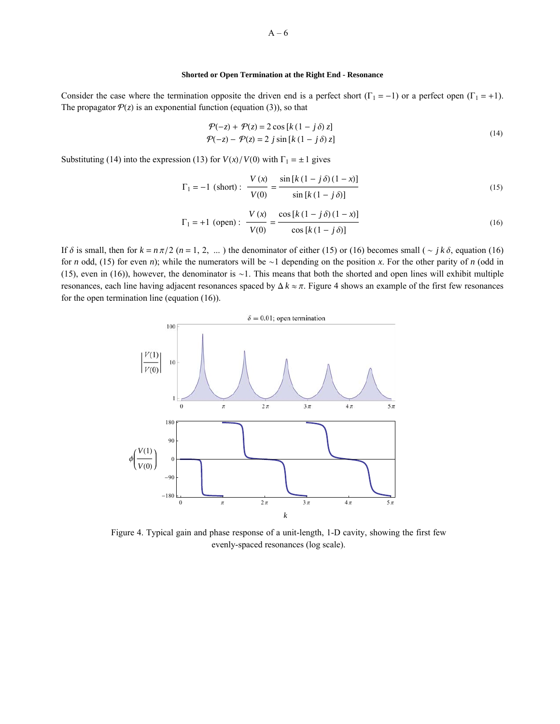# **Shorted or Open Termination at the Right End - Resonance**

Consider the case where the termination opposite the driven end is a perfect short ( $\Gamma_1 = -1$ ) or a perfect open ( $\Gamma_1 = +1$ ). The propagator  $P(z)$  is an exponential function (equation (3)), so that

$$
\mathcal{P}(-z) + \mathcal{P}(z) = 2 \cos[k(1 - j\delta) z]
$$
  
\n
$$
\mathcal{P}(-z) - \mathcal{P}(z) = 2 j \sin[k(1 - j\delta) z]
$$
\n(14)

Substituting (14) into the expression (13) for  $V(x)/V(0)$  with  $\Gamma_1 = \pm 1$  gives

$$
\Gamma_1 = -1 \text{ (short)}: \frac{V(x)}{V(0)} = \frac{\sin [k (1 - j \delta) (1 - x)]}{\sin [k (1 - j \delta)]} \tag{15}
$$

$$
\Gamma_1 = +1 \text{ (open)}: \frac{V(x)}{V(0)} = \frac{\cos [k (1 - j \delta) (1 - x)]}{\cos [k (1 - j \delta)]}
$$
(16)

If  $\delta$  is small, then for  $k = n\pi/2$  ( $n = 1, 2, ...$ ) the denominator of either (15) or (16) becomes small ( $\sim jk\delta$ , equation (16) for *n* odd, (15) for even *n*); while the numerators will be  $\sim$ 1 depending on the position *x*. For the other parity of *n* (odd in (15), even in (16)), however, the denominator is  $\sim$ 1. This means that both the shorted and open lines will exhibit multiple resonances, each line having adjacent resonances spaced by  $\Delta k \approx \pi$ . Figure 4 shows an example of the first few resonances for the open termination line (equation (16)).



Figure 4. Typical gain and phase response of a unit-length, 1-D cavity, showing the first few evenly-spaced resonances (log scale).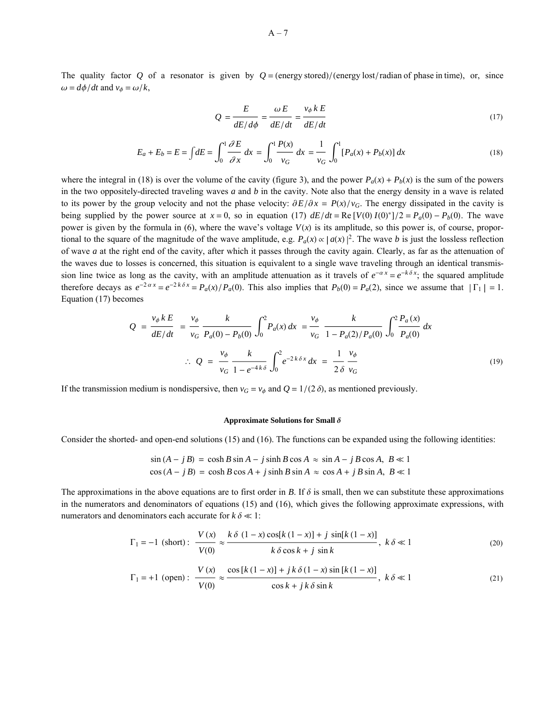The quality factor *Q* of a resonator is given by  $Q = (energy stored)/(energy lost/radian of phase in time)$ , or, since  $\omega = d\phi/dt$  and  $v_{\phi} = \omega/k$ ,

$$
Q = \frac{E}{dE/d\phi} = \frac{\omega E}{dE/dt} = \frac{v_{\phi} k E}{dE/dt}
$$
 (17)

$$
E_a + E_b = E = \int dE = \int_0^1 \frac{\partial E}{\partial x} dx = \int_0^1 \frac{P(x)}{v_G} dx = \frac{1}{v_G} \int_0^1 [P_a(x) + P_b(x)] dx
$$
 (18)

where the integral in (18) is over the volume of the cavity (figure 3), and the power  $P_a(x) + P_b(x)$  is the sum of the powers in the two oppositely-directed traveling waves *a* and *b* in the cavity. Note also that the energy density in a wave is related to its power by the group velocity and not the phase velocity:  $\partial E/\partial x = P(x)/v_G$ . The energy dissipated in the cavity is being supplied by the power source at  $x = 0$ , so in equation (17)  $dE/dt = \text{Re}[V(0) I(0)^*]/2 = P_a(0) - P_b(0)$ . The wave power is given by the formula in (6), where the wave's voltage  $V(x)$  is its amplitude, so this power is, of course, proportional to the square of the magnitude of the wave amplitude, e.g.  $P_a(x) \propto |a(x)|^2$ . The wave *b* is just the lossless reflection of wave *a* at the right end of the cavity, after which it passes through the cavity again. Clearly, as far as the attenuation of the waves due to losses is concerned, this situation is equivalent to a single wave traveling through an identical transmission line twice as long as the cavity, with an amplitude attenuation as it travels of  $e^{-\alpha x} = e^{-k \delta x}$ ; the squared amplitude therefore decays as  $e^{-2\alpha x} = e^{-2k\delta x} = P_a(x)/P_a(0)$ . This also implies that  $P_b(0) = P_a(2)$ , since we assume that  $|\Gamma_1| = 1$ . Equation (17) becomes

$$
Q = \frac{v_{\phi} k E}{dE/dt} = \frac{v_{\phi}}{v_G} \frac{k}{P_a(0) - P_b(0)} \int_0^2 P_a(x) dx = \frac{v_{\phi}}{v_G} \frac{k}{1 - P_a(2)/P_a(0)} \int_0^2 \frac{P_a(x)}{P_a(0)} dx
$$
  
 
$$
\therefore Q = \frac{v_{\phi}}{v_G} \frac{k}{1 - e^{-4k\delta}} \int_0^2 e^{-2k\delta x} dx = \frac{1}{2\delta} \frac{v_{\phi}}{v_G}
$$
 (19)

If the transmission medium is nondispersive, then  $v_G = v_\phi$  and  $Q = 1/(2 \delta)$ , as mentioned previously.

#### **Approximate Solutions for Small**  $\delta$

Consider the shorted- and open-end solutions (15) and (16). The functions can be expanded using the following identities:

$$
\sin(A - jB) = \cosh B \sin A - j \sinh B \cos A \approx \sin A - jB \cos A, \ B \ll 1
$$
  

$$
\cos(A - jB) = \cosh B \cos A + j \sinh B \sin A \approx \cos A + jB \sin A, \ B \ll 1
$$

The approximations in the above equations are to first order in *B*. If  $\delta$  is small, then we can substitute these approximations in the numerators and denominators of equations (15) and (16), which gives the following approximate expressions, with numerators and denominators each accurate for  $k \delta \ll 1$ :

$$
\Gamma_1 = -1 \text{ (short): } \frac{V(x)}{V(0)} \approx \frac{k \delta (1-x) \cos[k (1-x)] + j \sin[k (1-x)]}{k \delta \cos k + j \sin k}, \ k \delta \ll 1 \tag{20}
$$

$$
\Gamma_1 = +1 \text{ (open)}: \frac{V(x)}{V(0)} \approx \frac{\cos [k (1-x)] + j k \delta (1-x) \sin [k (1-x)]}{\cos k + j k \delta \sin k}, \ k \delta \ll 1 \tag{21}
$$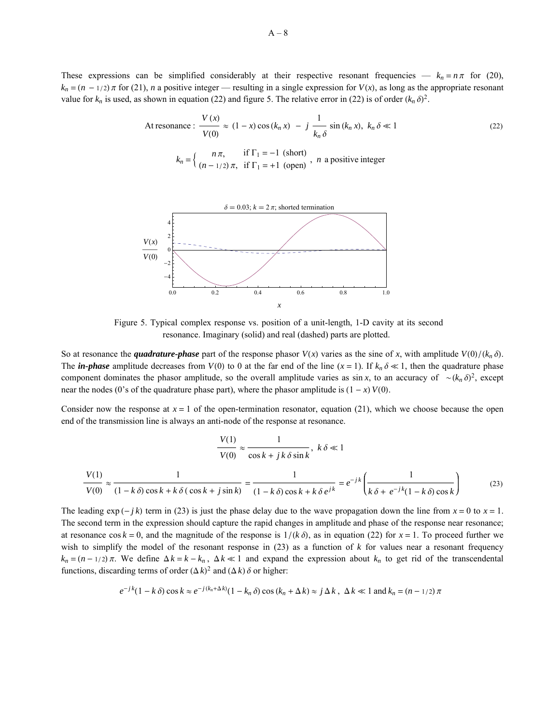These expressions can be simplified considerably at their respective resonant frequencies —  $k_n = n\pi$  for (20),  $k_n = (n - 1/2)\pi$  for (21), *n* a positive integer — resulting in a single expression for *V*(*x*), as long as the appropriate resonant value for  $k_n$  is used, as shown in equation (22) and figure 5. The relative error in (22) is of order  $(k_n \delta)^2$ .

At resonance: 
$$
\frac{V(x)}{V(0)} \approx (1 - x) \cos(k_n x) - j \frac{1}{k_n \delta} \sin(k_n x), k_n \delta \ll 1
$$
  

$$
k_n = \begin{cases} n\pi, & \text{if } \Gamma_1 = -1 \text{ (short)} \\ (n - 1/2)\pi, & \text{if } \Gamma_1 = +1 \text{ (open)} \end{cases}, n \text{ a positive integer}
$$
 (22)



Figure 5. Typical complex response vs. position of a unit-length, 1-D cavity at its second resonance. Imaginary (solid) and real (dashed) parts are plotted.

So at resonance the *quadrature-phase* part of the response phasor  $V(x)$  varies as the sine of x, with amplitude  $V(0)/(k_n \delta)$ . The *in-phase* amplitude decreases from *V*(0) to 0 at the far end of the line  $(x = 1)$ . If  $k_n \delta \ll 1$ , then the quadrature phase component dominates the phasor amplitude, so the overall amplitude varies as  $\sin x$ , to an accuracy of  $\sim (k_n \delta)^2$ , except near the nodes (0's of the quadrature phase part), where the phasor amplitude is  $(1 - x) V(0)$ .

Consider now the response at  $x = 1$  of the open-termination resonator, equation (21), which we choose because the open end of the transmission line is always an anti-node of the response at resonance.

$$
\frac{V(1)}{V(0)} \approx \frac{1}{\cos k + jk \delta \sin k}, \ k \delta \ll 1
$$

$$
\frac{V(1)}{V(0)} \approx \frac{1}{(1 - k \delta) \cos k + k \delta (\cos k + j \sin k)} = \frac{1}{(1 - k \delta) \cos k + k \delta e^{jk}} = e^{-jk} \left(\frac{1}{k \delta + e^{-jk}(1 - k \delta) \cos k}\right) \tag{23}
$$

The leading  $\exp(-j k)$  term in (23) is just the phase delay due to the wave propagation down the line from  $x = 0$  to  $x = 1$ . The second term in the expression should capture the rapid changes in amplitude and phase of the response near resonance; at resonance  $\cos k = 0$ , and the magnitude of the response is  $1/(k \delta)$ , as in equation (22) for  $x = 1$ . To proceed further we wish to simplify the model of the resonant response in  $(23)$  as a function of  $k$  for values near a resonant frequency  $k_n = (n - 1/2)\pi$ . We define  $\Delta k = k - k_n$ ,  $\Delta k \ll 1$  and expand the expression about  $k_n$  to get rid of the transcendental functions, discarding terms of order  $(\Delta k)^2$  and  $(\Delta k)$   $\delta$  or higher:

$$
e^{-jk}(1-k\delta)\cos k \approx e^{-j(k_n+\Delta k)}(1-k_n\delta)\cos((k_n+\Delta k)\approx j\Delta k, \ \Delta k \ll 1 \text{ and } k_n=(n-1/2)\pi
$$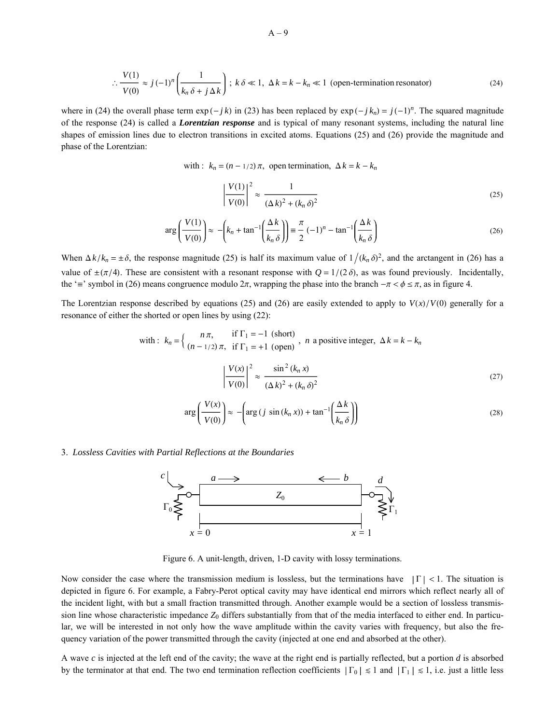$$
\therefore \frac{V(1)}{V(0)} \approx j \left(-1\right)^n \left(\frac{1}{k_n \delta + j \Delta k}\right); \ k \delta \ll 1, \ \Delta k = k - k_n \ll 1 \text{ (open-termination resonator)}\tag{24}
$$

where in (24) the overall phase term  $\exp(-jk)$  in (23) has been replaced by  $\exp(-jk_n) = j(-1)^n$ . The squared magnitude of the response (24) is called a *Lorentzian response* and is typical of many resonant systems, including the natural line shapes of emission lines due to electron transitions in excited atoms. Equations (25) and (26) provide the magnitude and phase of the Lorentzian:

with :  $k_n = (n - 1/2) \pi$ , open termination,  $\Delta k = k - k_n$ 

$$
\left|\frac{V(1)}{V(0)}\right|^2 \approx \frac{1}{(\Delta k)^2 + (k_n \delta)^2} \tag{25}
$$

$$
\arg\left(\frac{V(1)}{V(0)}\right) \approx -\left(k_n + \tan^{-1}\left(\frac{\Delta k}{k_n \delta}\right)\right) \equiv \frac{\pi}{2} \left(-1\right)^n - \tan^{-1}\left(\frac{\Delta k}{k_n \delta}\right) \tag{26}
$$

When  $\Delta k / k_n = \pm \delta$ , the response magnitude (25) is half its maximum value of  $1 / (k_n \delta)^2$ , and the arctangent in (26) has a value of  $\pm(\pi/4)$ . These are consistent with a resonant response with  $Q = 1/(2 \delta)$ , as was found previously. Incidentally, the '=' symbol in (26) means congruence modulo  $2\pi$ , wrapping the phase into the branch  $-\pi < \phi \le \pi$ , as in figure 4.

The Lorentzian response described by equations (25) and (26) are easily extended to apply to  $V(x)/V(0)$  generally for a resonance of either the shorted or open lines by using (22):

with: 
$$
k_n = \begin{cases} n\pi, & \text{if } \Gamma_1 = -1 \text{ (short)} \\ (n-1/2)\pi, & \text{if } \Gamma_1 = +1 \text{ (open)} \end{cases}
$$
, *n* a positive integer,  $\Delta k = k - k_n$   

$$
\left| \frac{V(x)}{V(0)} \right|^2 \approx \frac{\sin^2 (k_n x)}{(\Delta k)^2 + (k_n \delta)^2}
$$
(27)

$$
\arg\left(\frac{V(x)}{V(0)}\right) \approx -\left(\arg\left(j\,\sin\left(k_n\,x\right)\right) + \tan^{-1}\left(\frac{\Delta\,k}{k_n\,\delta}\right)\right) \tag{28}
$$

3. *Lossless Cavities with Partial Reflections at the Boundaries*



Figure 6. A unit-length, driven, 1-D cavity with lossy terminations.

Now consider the case where the transmission medium is lossless, but the terminations have  $|\Gamma| < 1$ . The situation is depicted in figure 6. For example, a Fabry-Perot optical cavity may have identical end mirrors which reflect nearly all of the incident light, with but a small fraction transmitted through. Another example would be a section of lossless transmission line whose characteristic impedance  $Z_0$  differs substantially from that of the media interfaced to either end. In particular, we will be interested in not only how the wave amplitude within the cavity varies with frequency, but also the frequency variation of the power transmitted through the cavity (injected at one end and absorbed at the other).

A wave *c* is injected at the left end of the cavity; the wave at the right end is partially reflected, but a portion *d* is absorbed by the terminator at that end. The two end termination reflection coefficients  $|\Gamma_0| \le 1$  and  $|\Gamma_1| \le 1$ , i.e. just a little less